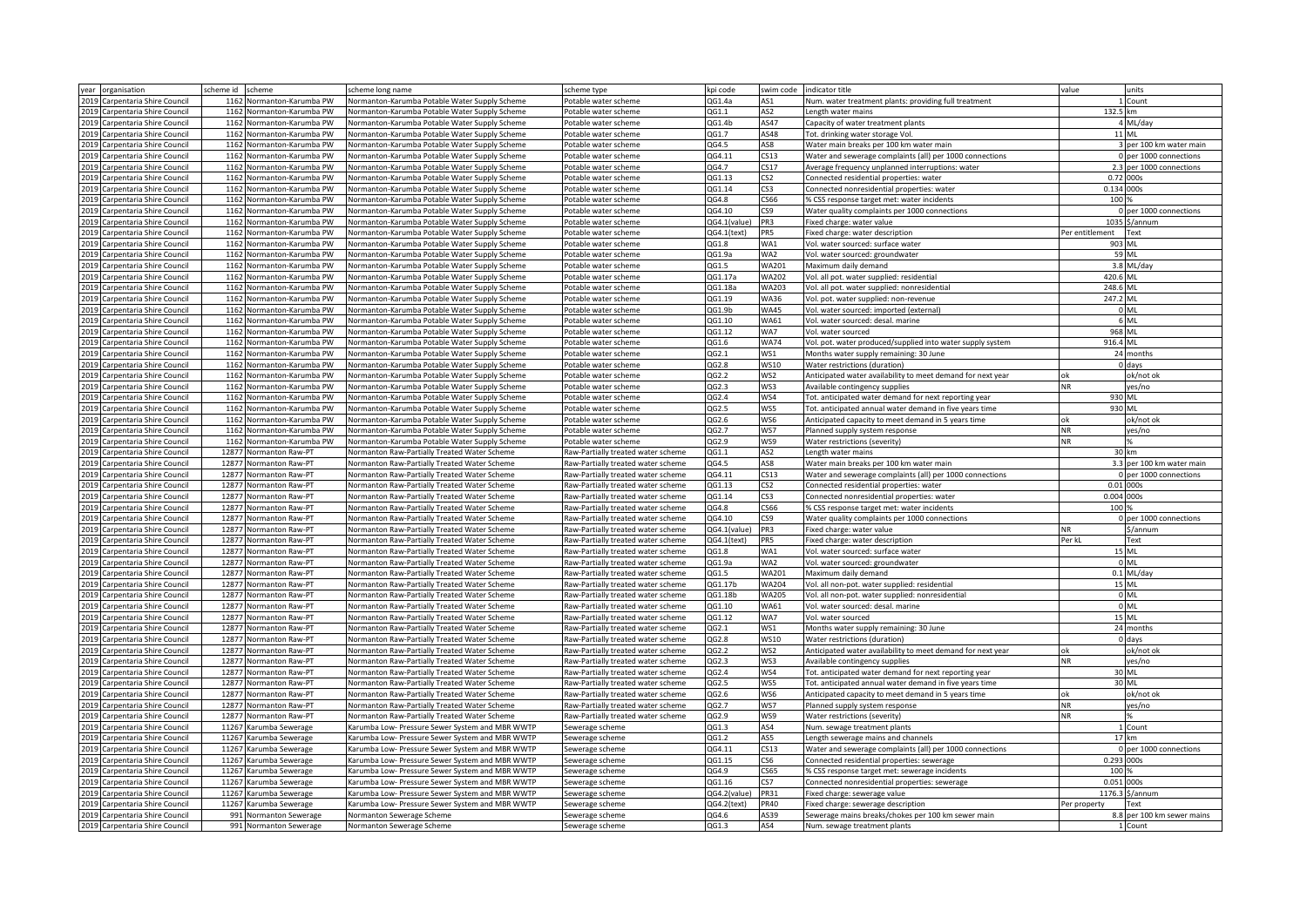| year organisation                 | scheme id scheme          | scheme long name                                | scheme type                        | kpi code     |                 | swim code indicator title                                                                           | value           | units                      |
|-----------------------------------|---------------------------|-------------------------------------------------|------------------------------------|--------------|-----------------|-----------------------------------------------------------------------------------------------------|-----------------|----------------------------|
| 2019 Carpentaria Shire Council    | 1162 Normanton-Karumba PW | Normanton-Karumba Potable Water Supply Scheme   | Potable water scheme               | OG1.4a       | AS1             | Num. water treatment plants: providing full treatment                                               |                 | L Count                    |
| 2019 Carpentaria Shire Council    | 1162 Normanton-Karumba PW | Normanton-Karumba Potable Water Supply Scheme   | otable water scheme                | QG1.1        | AS <sub>2</sub> | ength water mains                                                                                   | 132.5 km        |                            |
| 2019<br>Carpentaria Shire Council | 1162 Normanton-Karumba PW | Normanton-Karumba Potable Water Supply Scheme   | otable water scheme                | QG1.4b       | AS47            | Capacity of water treatment plants                                                                  |                 | 4 ML/day                   |
| 2019 Carpentaria Shire Council    | 1162 Normanton-Karumba PW | Normanton-Karumba Potable Water Supply Scheme   | Potable water scheme               | QG1.7        | AS48            | Tot. drinking water storage Vol.                                                                    |                 | 11 ML                      |
| 2019 Carpentaria Shire Council    | 1162 Normanton-Karumba PW | Normanton-Karumba Potable Water Supply Scheme   | Potable water scheme               | QG4.5        | AS8             | Water main breaks per 100 km water main                                                             |                 | 3 per 100 km water main    |
| 2019 Carpentaria Shire Council    | 1162 Normanton-Karumba PW | Normanton-Karumba Potable Water Supply Scheme   | Potable water scheme               | QG4.11       | CS13            | Water and sewerage complaints (all) per 1000 connections                                            |                 | 0 per 1000 connections     |
| 2019 Carpentaria Shire Council    | 1162 Normanton-Karumba PW | Normanton-Karumba Potable Water Supply Scheme   | Potable water scheme               | QG4.7        | CS17            | Average frequency unplanned interruptions: water                                                    |                 | 2.3 per 1000 connections   |
| 2019<br>Carpentaria Shire Council | 1162 Normanton-Karumba PW | Normanton-Karumba Potable Water Supply Scheme   | otable water scheme                | QG1.13       | CS <sub>2</sub> | Connected residential properties: water                                                             |                 | 0.72 000s                  |
| 2019 Carpentaria Shire Council    | 1162 Normanton-Karumba PW | Normanton-Karumba Potable Water Supply Scheme   | Potable water scheme               | QG1.14       | CS3             | Connected nonresidential properties: water                                                          | 0.134 000s      |                            |
| 2019 Carpentaria Shire Council    | 1162 Normanton-Karumba PW | Normanton-Karumba Potable Water Supply Scheme   | Potable water scheme               | QG4.8        | CS66            | % CSS response target met: water incidents                                                          | 100 %           |                            |
| 2019 Carpentaria Shire Council    | 1162 Normanton-Karumba PW | Normanton-Karumba Potable Water Supply Scheme   | Potable water scheme               | QG4.10       | CS9             | Water quality complaints per 1000 connections                                                       |                 | 0 per 1000 connections     |
| 2019 Carpentaria Shire Council    | 1162 Normanton-Karumba PW | Vormanton-Karumba Potable Water Supply Scheme   | Potable water scheme               | QG4.1(value) | PR <sub>3</sub> | Fixed charge: water value                                                                           |                 | 1035 \$/annum              |
| 2019<br>Carpentaria Shire Council | 1162 Normanton-Karumba PW | Normanton-Karumba Potable Water Supply Scheme   | otable water scheme                | QG4.1(text)  | PR5             | Fixed charge: water description                                                                     | Per entitlement | Text                       |
| 2019 Carpentaria Shire Council    | 1162 Normanton-Karumba PW | Normanton-Karumba Potable Water Supply Scheme   | otable water scheme                | QG1.8        | WA1             | Vol. water sourced: surface water                                                                   |                 | 903 ML                     |
| 2019 Carpentaria Shire Council    | 1162 Normanton-Karumba PW | Normanton-Karumba Potable Water Supply Scheme   | Potable water scheme               | QG1.9a       | WA2             | Vol. water sourced: groundwater                                                                     |                 | 59 ML                      |
| 2019 Carpentaria Shire Council    | 1162 Normanton-Karumba PW | Normanton-Karumba Potable Water Supply Scheme   | Potable water scheme               | QG1.5        | WA201           | Maximum daily demand                                                                                |                 | 3.8 ML/day                 |
| 2019 Carpentaria Shire Council    | 1162 Normanton-Karumba PW | Normanton-Karumba Potable Water Supply Scheme   | Potable water scheme               | QG1.17a      | WA202           | Vol. all pot. water supplied: residential                                                           | 420.6 ML        |                            |
| 2019<br>Carpentaria Shire Council | 1162 Normanton-Karumba PW | Normanton-Karumba Potable Water Supply Scheme   | otable water scheme                | QG1.18a      | <b>WA203</b>    | Vol. all pot. water supplied: nonresidential                                                        | 248.6 ML        |                            |
| 2019 Carpentaria Shire Council    | 1162 Normanton-Karumba PW | Normanton-Karumba Potable Water Supply Scheme   | Potable water scheme               | QG1.19       | WA36            | Vol. pot. water supplied: non-revenue                                                               | 247.2 ML        |                            |
| 2019 Carpentaria Shire Council    | 1162 Normanton-Karumba PW | Normanton-Karumba Potable Water Supply Scheme   | Potable water scheme               | QG1.9b       | WA45            | Vol. water sourced: imported (external)                                                             |                 | 0 ML                       |
| 2019<br>Carpentaria Shire Council | 1162 Normanton-Karumba PW | Normanton-Karumba Potable Water Supply Scheme   | Potable water scheme               | QG1.10       | WA61            | Vol. water sourced: desal. marine                                                                   |                 | 6 ML                       |
| 2019 Carpentaria Shire Council    | 1162 Normanton-Karumba PW | Normanton-Karumba Potable Water Supply Scheme   | Potable water scheme               | QG1.12       | WA7             | Vol. water sourced                                                                                  | 968 ML          |                            |
| 2019 Carpentaria Shire Council    | 1162 Normanton-Karumba PW | Normanton-Karumba Potable Water Supply Scheme   | otable water scheme                | QG1.6        | <b>WA74</b>     | Vol. pot. water produced/supplied into water supply system                                          | 916.4 ML        |                            |
| 2019 Carpentaria Shire Council    | 1162 Normanton-Karumba PW | Normanton-Karumba Potable Water Supply Scheme   | otable water scheme                | QG2.1        | NS1             | Months water supply remaining: 30 June                                                              |                 | 24 months                  |
| 2019 Carpentaria Shire Council    | 1162 Normanton-Karumba PW | Normanton-Karumba Potable Water Supply Scheme   | Potable water scheme               | QG2.8        | WS10            | Water restrictions (duration)                                                                       |                 | 0 days                     |
| 2019 Carpentaria Shire Council    | 1162 Normanton-Karumba PW | Normanton-Karumba Potable Water Supply Scheme   | Potable water scheme               | QG2.2        | WS2             | Anticipated water availability to meet demand for next year                                         |                 | ok/not ok                  |
| 2019 Carpentaria Shire Council    | 1162 Normanton-Karumba PW | Vormanton-Karumba Potable Water Supply Scheme   | Potable water scheme               | QG2.3        | WS3             | Available contingency supplies                                                                      | NR.             | yes/no                     |
| 2019 Carpentaria Shire Council    | 1162 Normanton-Karumba PW | Normanton-Karumba Potable Water Supply Scheme   | otable water scheme                | QG2.4        | WS4             | Tot, anticipated water demand for next reporting year                                               | 930 ML          |                            |
| 2019<br>Carpentaria Shire Council | 1162 Normanton-Karumba PW | Normanton-Karumba Potable Water Supply Scheme   | otable water scheme                | QG2.5        | WS5             | Tot. anticipated annual water demand in five years time                                             | 930 ML          |                            |
| 2019 Carpentaria Shire Council    | 1162 Normanton-Karumba PW | Normanton-Karumba Potable Water Supply Scheme   | Potable water scheme               | QG2.6        | WS6             | Anticipated capacity to meet demand in 5 years time                                                 | ok              | ok/not ok                  |
| 2019 Carpentaria Shire Council    | 1162 Normanton-Karumba PW | Normanton-Karumba Potable Water Supply Scheme   | Potable water scheme               | QG2.7        | WS7             | Planned supply system response                                                                      | <b>NR</b>       | yes/no                     |
| 2019 Carpentaria Shire Council    | 1162 Normanton-Karumba PW | Normanton-Karumba Potable Water Supply Scheme   | Potable water scheme               | QG2.9        | WS9             | Water restrictions (severity)                                                                       | NR.             |                            |
| 2019 Carpentaria Shire Council    | 12877 Normanton Raw-PT    | Normanton Raw-Partially Treated Water Scheme    | Raw-Partially treated water scheme | QG1.1        | AS <sub>2</sub> | ength water mains                                                                                   |                 | 30 km                      |
| 2019 Carpentaria Shire Council    | 12877 Normanton Raw-PT    | Normanton Raw-Partially Treated Water Scheme    | Raw-Partially treated water scheme | QG4.5        | AS8             | Water main breaks per 100 km water main                                                             |                 | 3.3 per 100 km water main  |
| 2019 Carpentaria Shire Council    | 12877 Normanton Raw-PT    | Normanton Raw-Partially Treated Water Scheme    | Raw-Partially treated water scheme | QG4.11       | CS13            |                                                                                                     |                 | 0 per 1000 connections     |
| 2019 Carpentaria Shire Council    | 12877 Normanton Raw-PT    | Normanton Raw-Partially Treated Water Scheme    | Raw-Partially treated water scheme | QG1.13       | CS2             | Water and sewerage complaints (all) per 1000 connections<br>Connected residential properties: water |                 | 0.01 000s                  |
| 2019 Carpentaria Shire Council    | 12877 Normanton Raw-PT    | Normanton Raw-Partially Treated Water Scheme    | Raw-Partially treated water scheme | QG1.14       | CS3             | Connected nonresidential properties: water                                                          | 0.004 000s      |                            |
| 2019 Carpentaria Shire Council    | 12877 Normanton Raw-PT    | Normanton Raw-Partially Treated Water Scheme    | Raw-Partially treated water scheme | QG4.8        | C566            | % CSS response target met: water incidents                                                          | 100             |                            |
| 2019<br>Carpentaria Shire Council | 12877 Normanton Raw-PT    | Normanton Raw-Partially Treated Water Scheme    | Raw-Partially treated water scheme | QG4.10       | CS9             | Water quality complaints per 1000 connections                                                       |                 | 0 per 1000 connections     |
| 2019 Carpentaria Shire Council    | 12877 Normanton Raw-PT    | Normanton Raw-Partially Treated Water Scheme    | Raw-Partially treated water scheme | QG4.1(value) | PR <sub>3</sub> | Fixed charge: water value                                                                           | NR.             | \$/annum                   |
| 2019 Carpentaria Shire Council    | 12877 Normanton Raw-PT    | Normanton Raw-Partially Treated Water Scheme    | Raw-Partially treated water scheme | QG4.1(text)  | PR5             | Fixed charge: water description                                                                     | Per kL          | Text                       |
| 2019 Carpentaria Shire Council    | 12877 Normanton Raw-PT    | Normanton Raw-Partially Treated Water Scheme    | Raw-Partially treated water scheme | QG1.8        | WA1             | Vol. water sourced: surface water                                                                   |                 | 15 ML                      |
| 2019 Carpentaria Shire Council    | 12877 Normanton Raw-PT    | Normanton Raw-Partially Treated Water Scheme    | Raw-Partially treated water scheme | QG1.9a       | WA2             | Vol. water sourced: groundwater                                                                     |                 | $0$ ML                     |
| 2019<br>Carpentaria Shire Council | 12877 Normanton Raw-PT    | Normanton Raw-Partially Treated Water Scheme    | Raw-Partially treated water scheme | QG1.5        | WA201           | Maximum daily demand                                                                                |                 | $0.1$ ML/day               |
| 2019 Carpentaria Shire Council    | 12877 Normanton Raw-PT    | Normanton Raw-Partially Treated Water Scheme    | Raw-Partially treated water scheme | QG1.17b      | WA204           | Vol. all non-pot. water supplied: residential                                                       |                 | 15 ML                      |
| 2019 Carpentaria Shire Council    | 12877 Normanton Raw-PT    | Normanton Raw-Partially Treated Water Scheme    | Raw-Partially treated water scheme | QG1.18b      | WA205           | Vol. all non-pot. water supplied: nonresidential                                                    |                 | 0 ML                       |
| 2019<br>Carpentaria Shire Council | 12877 Normanton Raw-PT    | Normanton Raw-Partially Treated Water Scheme    | Raw-Partially treated water scheme | QG1.10       | WA61            | Vol. water sourced: desal. marine                                                                   |                 | 0 ML                       |
| 2019 Carpentaria Shire Council    | 12877 Normanton Raw-PT    | Normanton Raw-Partially Treated Water Scheme    | Raw-Partially treated water scheme | QG1.12       | WA7             | Vol. water sourced                                                                                  |                 | 15 ML                      |
| 2019 Carpentaria Shire Council    | 12877 Normanton Raw-PT    | Normanton Raw-Partially Treated Water Scheme    | Raw-Partially treated water scheme | QG2.1        | WS1             | Months water supply remaining: 30 June                                                              |                 | 24 months                  |
| 2019 Carpentaria Shire Council    | 12877 Normanton Raw-PT    | Normanton Raw-Partially Treated Water Scheme    | Raw-Partially treated water scheme | QG2.8        | WS10            | Water restrictions (duration)                                                                       |                 | $0$ days                   |
| 2019 Carpentaria Shire Council    | 12877 Normanton Raw-PT    | Normanton Raw-Partially Treated Water Scheme    | Raw-Partially treated water scheme | QG2.2        | WS2             | Anticipated water availability to meet demand for next year                                         | ok              | ok/not ok                  |
| 2019 Carpentaria Shire Council    | 12877 Normanton Raw-PT    | Normanton Raw-Partially Treated Water Scheme    | Raw-Partially treated water scheme | QG2.3        | WS3             | Available contingency supplies                                                                      | <b>NR</b>       | yes/no                     |
| 2019 Carpentaria Shire Council    | 12877 Normanton Raw-PT    | Normanton Raw-Partially Treated Water Scheme    | Raw-Partially treated water scheme | QG2.4        | WS4             | Tot, anticipated water demand for next reporting year                                               |                 | 30 ML                      |
| 2019 Carpentaria Shire Council    | 12877 Normanton Raw-PT    | Normanton Raw-Partially Treated Water Scheme    | Raw-Partially treated water scheme | QG2.5        | WS5             | Tot, anticipated annual water demand in five years time                                             |                 | 30 ML                      |
| 2019 Carpentaria Shire Council    | 12877 Normanton Raw-PT    | Normanton Raw-Partially Treated Water Scheme    | Raw-Partially treated water scheme | QG2.6        | WS6             | Anticipated capacity to meet demand in 5 years time                                                 | nk              | ok/not ok                  |
| 2019 Carpentaria Shire Council    | 12877 Normanton Raw-PT    | Normanton Raw-Partially Treated Water Scheme    | Raw-Partially treated water scheme | QG2.7        | WS7             | Planned supply system response                                                                      | <b>NR</b>       | yes/no                     |
| 2019 Carpentaria Shire Council    | 12877 Normanton Raw-PT    | Normanton Raw-Partially Treated Water Scheme    | Raw-Partially treated water scheme | QG2.9        | WS9             | Water restrictions (severity)                                                                       | NR              |                            |
| 2019 Carpentaria Shire Council    | 11267 Karumba Sewerage    | Karumba Low- Pressure Sewer System and MBR WWTP | Sewerage scheme                    | QG1.3        | AS4             | Num. sewage treatment plants                                                                        |                 | 1 Count                    |
| 2019 Carpentaria Shire Council    | 11267 Karumba Sewerage    | Karumba Low- Pressure Sewer System and MBR WWTP | Sewerage scheme                    | QG1.2        | AS5             | Length sewerage mains and channels                                                                  |                 | 17 km                      |
| 2019 Carpentaria Shire Council    | 11267 Karumba Sewerage    | Karumba Low- Pressure Sewer System and MBR WWTP | Sewerage scheme                    | QG4.11       | CS13            | Water and sewerage complaints (all) per 1000 connections                                            |                 | 0 per 1000 connections     |
| 2019 Carpentaria Shire Council    | 11267 Karumba Sewerage    | Karumba Low- Pressure Sewer System and MBR WWTP | Sewerage scheme                    | QG1.15       | CS6             | Connected residential properties: sewerage                                                          | 0.293 000s      |                            |
| 2019 Carpentaria Shire Council    | 11267 Karumba Sewerage    | Karumba Low- Pressure Sewer System and MBR WWTF | Sewerage scheme                    | QG4.9        | CS65            | % CSS response target met: sewerage incidents                                                       | 100             |                            |
| 2019 Carpentaria Shire Council    | 11267 Karumba Sewerage    | Karumba Low- Pressure Sewer System and MBR WWTP | sewerage scheme                    | QG1.16       | 257             | Connected nonresidential properties: sewerage                                                       | 0.051           | 000s                       |
| 2019 Carpentaria Shire Council    | 11267 Karumba Sewerage    | Karumba Low- Pressure Sewer System and MBR WWTP | Sewerage scheme                    | QG4.2(value) | PR31            | Fixed charge: sewerage value                                                                        |                 | 1176.3 \$/annum            |
| 2019 Carpentaria Shire Council    | 11267 Karumba Sewerage    | Karumba Low- Pressure Sewer System and MBR WWTP | Sewerage scheme                    | QG4.2(text)  | PR40            | Fixed charge: sewerage description                                                                  | Per property    | Text                       |
| 2019 Carpentaria Shire Council    | 991 Normanton Sewerage    | Normanton Sewerage Scheme                       | Sewerage scheme                    | QG4.6        | AS39            | Sewerage mains breaks/chokes per 100 km sewer main                                                  |                 | 8.8 per 100 km sewer mains |
| 2019 Carpentaria Shire Council    | 991 Normanton Sewerage    | Normanton Sewerage Scheme                       | Sewerage scheme                    | QG1.3        | AS4             | Num. sewage treatment plants                                                                        |                 | 1 Count                    |
|                                   |                           |                                                 |                                    |              |                 |                                                                                                     |                 |                            |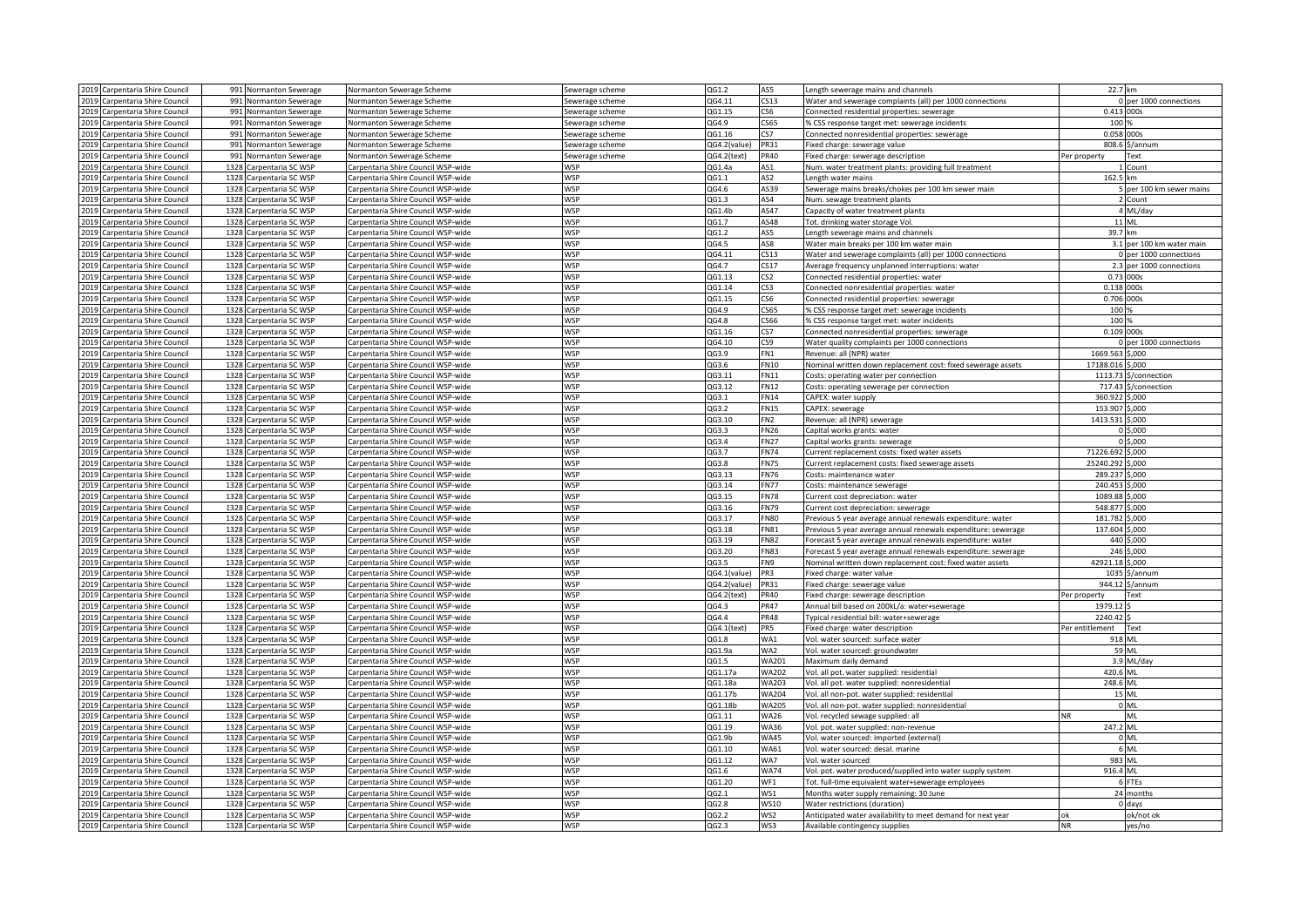|              | 2019 Carpentaria Shire Council                         |              | 991 Normanton Sewerage                   | Normanton Sewerage Scheme                                                | Sewerage scheme          | QG1.2           | AS5                            | Length sewerage mains and channels                            | 22.7 km                   |
|--------------|--------------------------------------------------------|--------------|------------------------------------------|--------------------------------------------------------------------------|--------------------------|-----------------|--------------------------------|---------------------------------------------------------------|---------------------------|
|              | 2019 Carpentaria Shire Council                         | 991          | Normanton Sewerage                       | Normanton Sewerage Scheme                                                | sewerage scheme          | QG4.11          | CS13                           | Water and sewerage complaints (all) per 1000 connections      | per 1000 connections      |
| 2019         | Carpentaria Shire Council                              | 991          | Normanton Sewerage                       | Normanton Sewerage Scheme                                                | ewerage scheme           | QG1.15          | CS <sub>6</sub>                | Connected residential properties: sewerage                    | 0.413<br>000s             |
|              | 2019 Carpentaria Shire Council                         |              | 991 Normanton Sewerage                   | Normanton Sewerage Scheme                                                | sewerage scheme          | QG4.9           | CS65                           | % CSS response target met: sewerage incidents                 | 100 %                     |
|              | 2019 Carpentaria Shire Council                         |              | 991 Normanton Sewerage                   | Normanton Sewerage Scheme                                                | Sewerage scheme          | QG1.16          | CS7                            | Connected nonresidential properties: sewerage                 | 0.058 000s                |
|              | 2019 Carpentaria Shire Council                         |              | 991 Normanton Sewerage                   | Normanton Sewerage Scheme                                                | Sewerage scheme          | QG4.2(value)    | PR31                           | Fixed charge: sewerage value                                  | 808.6<br>\$/annum         |
|              | 2019 Carpentaria Shire Council                         | 991          | Normanton Sewerage                       | Normanton Sewerage Scheme                                                | Sewerage scheme          | QG4.2(text)     | <b>PR40</b>                    | Fixed charge: sewerage description                            | Per property<br>Text      |
| 2019         | Carpentaria Shire Council                              | 1328         | Carpentaria SC WSP                       | Carpentaria Shire Council WSP-wide                                       | WSP                      | QG1.4a          | AS1                            | Num. water treatment plants: providing full treatment         | Count                     |
|              | 2019 Carpentaria Shire Council                         |              | 1328 Carpentaria SC WSP                  | Carpentaria Shire Council WSP-wide                                       | <b>WSP</b>               | QG1.1           | AS <sub>2</sub>                | Length water mains                                            | 162.5 km                  |
|              | 2019 Carpentaria Shire Council                         |              | 1328 Carpentaria SC WSP                  | Carpentaria Shire Council WSP-wide                                       | <b>WSP</b>               | QG4.6           | AS39                           | Sewerage mains breaks/chokes per 100 km sewer main            | per 100 km sewer mains    |
|              | 2019 Carpentaria Shire Council                         |              | 1328 Carpentaria SC WSP                  | Carpentaria Shire Council WSP-wide                                       | <b>WSP</b>               | QG1.3           | AS4                            | Num. sewage treatment plants                                  | 2 Count                   |
|              | 2019 Carpentaria Shire Council                         | 1328         | arpentaria SC WSP                        | Carpentaria Shire Council WSP-wide                                       | <b>WSP</b>               | QG1.4b          | AS47                           | Capacity of water treatment plants                            | ML/day                    |
| 2019         | Carpentaria Shire Council                              | 1328         | arpentaria SC WSP                        | Carpentaria Shire Council WSP-wide                                       | <b>WSP</b>               | QG1.7           | AS48                           | Tot. drinking water storage Vol.                              | 11 ML                     |
|              | 2019 Carpentaria Shire Council                         | 1328         | arpentaria SC WSP                        | Carpentaria Shire Council WSP-wide                                       | WSP                      | QG1.2           | AS5                            | Length sewerage mains and channels                            | 39.7 km                   |
|              | 2019 Carpentaria Shire Council                         | 1328         | Carpentaria SC WSP                       | Carpentaria Shire Council WSP-wide                                       | <b>WSP</b>               | QG4.5           | AS8                            | Water main breaks per 100 km water main                       | 3.1 per 100 km water main |
|              | 2019 Carpentaria Shire Council                         | 1328         | Carpentaria SC WSP                       | Carpentaria Shire Council WSP-wide                                       | <b>WSP</b>               | QG4.11          | CS13                           | Water and sewerage complaints (all) per 1000 connections      | 0 per 1000 connections    |
|              | 2019 Carpentaria Shire Council                         | 1328         | Carpentaria SC WSP                       | Carpentaria Shire Council WSP-wide                                       | <b>WSP</b>               | QG4.7           | CS17                           | Average frequency unplanned interruptions: water              | 2.3 per 1000 connections  |
| 2019         | Carpentaria Shire Council                              | 1328         | Carpentaria SC WSP                       | Carpentaria Shire Council WSP-wide                                       | <b>WSP</b>               | QG1.13          | CS <sub>2</sub>                | Connected residential properties: water                       | 0.73 000s                 |
|              | 2019 Carpentaria Shire Council                         |              | 1328 Carpentaria SC WSP                  | Carpentaria Shire Council WSP-wide                                       | <b>WSP</b>               | QG1.14          | CS3                            | Connected nonresidential properties: water                    | 0.138 000s                |
|              | 2019 Carpentaria Shire Council                         |              | 1328 Carpentaria SC WSP                  | Carpentaria Shire Council WSP-wide                                       | <b>WSP</b>               | QG1.15          | CS6                            | Connected residential properties: sewerage                    | 0.706 000s                |
|              | 2019 Carpentaria Shire Council                         | 1328         | Carpentaria SC WSP                       | Carpentaria Shire Council WSP-wide                                       | <b>WSP</b>               | QG4.9           | CS65                           | % CSS response target met: sewerage incidents                 | 100                       |
|              | 2019 Carpentaria Shire Council                         | 1328         | Carpentaria SC WSP                       | Carpentaria Shire Council WSP-wide                                       | <b>WSP</b>               | QG4.8           | C566                           | % CSS response target met: water incidents                    | 100                       |
| 2019         | Carpentaria Shire Council                              | 1328         | Carpentaria SC WSP                       | Carpentaria Shire Council WSP-wide                                       | <b>WSP</b>               | QG1.16          | CS7                            | Connected nonresidential properties: sewerage                 | 0.109 000s                |
|              | 2019 Carpentaria Shire Council                         | 1328         | Carpentaria SC WSP                       | Carpentaria Shire Council WSP-wide                                       | <b>WSP</b>               | QG4.10          | CS9                            | Water quality complaints per 1000 connections                 | per 1000 connections      |
|              | 2019 Carpentaria Shire Council                         | 1328         | Carpentaria SC WSP                       | Carpentaria Shire Council WSP-wide                                       | <b>WSP</b>               | QG3.9           | FN1                            | Revenue: all (NPR) water                                      | 1669.563<br>\$,000        |
|              | 2019 Carpentaria Shire Council                         | 1328         | Carpentaria SC WSP                       | Carpentaria Shire Council WSP-wide                                       | <b>WSP</b>               | QG3.6           | <b>FN10</b>                    | Nominal written down replacement cost: fixed sewerage assets  | 17188.016<br>\$.000       |
|              | 2019 Carpentaria Shire Council                         | 1328         | Carpentaria SC WSP                       | Carpentaria Shire Council WSP-wide                                       | <b>WSP</b>               | QG3.11          | FN11                           | Costs: operating water per connection                         | 1113.73<br>\$/connection  |
| 2019         | Carpentaria Shire Council                              | 1328         | Carpentaria SC WSP                       | Carpentaria Shire Council WSP-wide                                       | <b>WSP</b>               | QG3.12          | <b>FN12</b>                    | Costs: operating sewerage per connection                      | 717.43<br>\$/connection   |
|              | 2019 Carpentaria Shire Council                         | 1328         |                                          | Carpentaria Shire Council WSP-wide                                       | <b>WSP</b>               |                 | <b>FN14</b>                    |                                                               | 360.922<br>\$,000         |
|              | 2019 Carpentaria Shire Council                         |              | Carpentaria SC WSP                       |                                                                          | <b>WSP</b>               | QG3.1<br>QG3.2  |                                | CAPEX: water supply                                           | 153.907<br>\$,000         |
|              |                                                        | 1328         | Carpentaria SC WSP                       | Carpentaria Shire Council WSP-wide                                       |                          |                 | <b>FN15</b>                    | CAPEX: sewerage                                               | 1413.531                  |
| 2019<br>2019 | Carpentaria Shire Council<br>Carpentaria Shire Council | 1328<br>1328 | Carpentaria SC WSP<br>Carpentaria SC WSP | Carpentaria Shire Council WSP-wide<br>Carpentaria Shire Council WSP-wide | <b>WSP</b><br><b>WSP</b> | QG3.10<br>QG3.3 | FN <sub>2</sub><br><b>FN26</b> | Revenue: all (NPR) sewerage<br>Capital works grants: water    | \$,000<br>5.000           |
|              |                                                        |              |                                          |                                                                          |                          |                 |                                |                                                               |                           |
| 2019         | Carpentaria Shire Council                              | 1328         | Carpentaria SC WSP                       | Carpentaria Shire Council WSP-wide                                       | <b>WSP</b>               | QG3.4           | <b>FN27</b>                    | Capital works grants: sewerage                                | \$,000                    |
|              | 2019 Carpentaria Shire Council                         | 1328         | Carpentaria SC WSP                       | Carpentaria Shire Council WSP-wide                                       | <b>WSP</b>               | QG3.7           | <b>FN74</b>                    | Current replacement costs: fixed water assets                 | 71226.692<br>\$,000       |
|              | 2019 Carpentaria Shire Council                         | 1328         | Carpentaria SC WSP                       | Carpentaria Shire Council WSP-wide                                       | WSP                      | QG3.8           | <b>FN75</b>                    | Current replacement costs: fixed sewerage assets              | 25240.292<br>\$,000       |
|              | 2019 Carpentaria Shire Council                         | 1328         | Carpentaria SC WSP                       | Carpentaria Shire Council WSP-wide                                       | <b>WSP</b>               | QG3.13          | <b>FN76</b>                    | Costs: maintenance water                                      | 289.237<br>\$.000         |
|              | 2019 Carpentaria Shire Council                         | 1328         | Carpentaria SC WSP                       | Carpentaria Shire Council WSP-wide                                       | <b>WSP</b>               | QG3.14          | <b>FN77</b>                    | Costs: maintenance sewerage                                   | 240.453<br>\$.000         |
| 2019         | Carpentaria Shire Council                              | 1328         | Carpentaria SC WSP                       | Carpentaria Shire Council WSP-wide                                       | <b>WSP</b>               | QG3.15          | <b>FN78</b>                    | Current cost depreciation: water                              | \$,000<br>1089.88         |
|              | 2019 Carpentaria Shire Council                         | 1328         | Carpentaria SC WSP                       | Carpentaria Shire Council WSP-wide                                       | <b>WSP</b>               | QG3.16          | <b>FN79</b>                    | Current cost depreciation: sewerage                           | 548.877<br>\$.000         |
|              | 2019 Carpentaria Shire Council                         |              | 1328 Carpentaria SC WSP                  | Carpentaria Shire Council WSP-wide                                       | <b>WSP</b>               | QG3.17          | <b>FN80</b>                    | Previous 5 year average annual renewals expenditure: water    | \$,000<br>181.782         |
|              | 2019 Carpentaria Shire Council                         |              | 1328 Carpentaria SC WSP                  | Carpentaria Shire Council WSP-wide                                       | <b>WSP</b>               | QG3.18          | <b>FN81</b>                    | Previous 5 year average annual renewals expenditure: sewerage | 137.604<br>\$,000         |
|              | 2019 Carpentaria Shire Council                         | 1328         | Carpentaria SC WSP                       | Carpentaria Shire Council WSP-wide                                       | <b>WSP</b>               | QG3.19          | <b>FN82</b>                    | Forecast 5 year average annual renewals expenditure: water    | 440<br>\$.000             |
| 2019         | Carpentaria Shire Council                              | 1328         | Carpentaria SC WSP                       | Carpentaria Shire Council WSP-wide                                       | <b>WSP</b>               | QG3.20          | <b>FN83</b>                    | Forecast 5 year average annual renewals expenditure: sewerage | 246<br>\$,000             |
|              | 2019 Carpentaria Shire Council                         | 1328         | Carpentaria SC WSP                       | Carpentaria Shire Council WSP-wide                                       | <b>WSP</b>               | QG3.5           | FN9                            | Nominal written down replacement cost: fixed water assets     | 42921.18<br>\$,000        |
|              | 2019 Carpentaria Shire Council                         | 1328         | Carpentaria SC WSP                       | Carpentaria Shire Council WSP-wide                                       | WSP                      | QG4.1(value)    | PR3                            | Fixed charge: water value                                     | 1035<br>\$/annum          |
|              | 2019 Carpentaria Shire Council                         | 1328         | Carpentaria SC WSP                       | Carpentaria Shire Council WSP-wide                                       | <b>WSP</b>               | QG4.2(value)    | PR31                           | Fixed charge: sewerage value                                  | 944.12<br>\$/annum        |
|              | 2019 Carpentaria Shire Council                         | 1328         | Carpentaria SC WSP                       | Carpentaria Shire Council WSP-wide                                       | <b>WSP</b>               | QG4.2(text)     | <b>PR40</b>                    | Fixed charge: sewerage description                            | Per property<br>Text      |
| 2019         | Carpentaria Shire Council                              | 1328         | Carpentaria SC WSP                       | Carpentaria Shire Council WSP-wide                                       | <b>WSP</b>               | QG4.3           | <b>PR47</b>                    | Annual bill based on 200kL/a: water+sewerage                  | 1979.12                   |
| 2019         | Carpentaria Shire Council                              | 1328         | Carpentaria SC WSP                       | Carpentaria Shire Council WSP-wide                                       | WSP                      | QG4.4           | <b>PR48</b>                    | Typical residential bill: water+sewerage                      | 2240.42                   |
|              | 2019 Carpentaria Shire Council                         | 1328         | Carpentaria SC WSP                       | Carpentaria Shire Council WSP-wide                                       | <b>WSP</b>               | QG4.1(text)     | PR5                            | Fixed charge: water description                               | Per entitlement<br>Text   |
|              | 2019 Carpentaria Shire Council                         |              | 1328 Carpentaria SC WSP                  | Carpentaria Shire Council WSP-wide                                       | <b>WSP</b>               | QG1.8           | WA1                            | Vol. water sourced: surface water                             | 918 ML                    |
|              | 2019 Carpentaria Shire Council                         | 1328         | Carpentaria SC WSP                       | Carpentaria Shire Council WSP-wide                                       | <b>WSP</b>               | QG1.9a          | WA2                            | Vol. water sourced: groundwater                               | 59 ML                     |
|              | 2019 Carpentaria Shire Council                         | 1328         | Carpentaria SC WSP                       | Carpentaria Shire Council WSP-wide                                       | <b>WSP</b>               | QG1.5           | WA201                          | Maximum daily demand                                          | 3.9 ML/day                |
|              | 2019 Carpentaria Shire Council                         | 1328         | Carpentaria SC WSP                       | Carpentaria Shire Council WSP-wide                                       | <b>WSP</b>               | QG1.17a         | <b>WA202</b>                   | Vol. all pot. water supplied: residential                     | 420.6 ML                  |
|              | 2019 Carpentaria Shire Council                         | 1328         | Carpentaria SC WSP                       | Carpentaria Shire Council WSP-wide                                       | WSP                      | QG1.18a         | WA203                          | Vol. all pot. water supplied: nonresidential                  | 248.6 ML                  |
|              | 2019 Carpentaria Shire Council                         | 1328         | Carpentaria SC WSP                       | Carpentaria Shire Council WSP-wide                                       | <b>WSP</b>               | QG1.17b         | <b>WA204</b>                   | Vol. all non-pot. water supplied: residential                 | 15 ML                     |
|              | 2019 Carpentaria Shire Council                         | 1328         | Carpentaria SC WSP                       | Carpentaria Shire Council WSP-wide                                       | <b>WSP</b>               | QG1.18b         | <b>WA205</b>                   | Vol. all non-pot. water supplied: nonresidential              | 0 ML                      |
|              | 2019 Carpentaria Shire Council                         | 1328         | Carpentaria SC WSP                       | Carpentaria Shire Council WSP-wide                                       | <b>WSP</b>               | QG1.11          | <b>WA26</b>                    | Vol. recycled sewage supplied: all                            | ML<br><b>NR</b>           |
|              | 2019 Carpentaria Shire Council                         | 1328         | arpentaria SC WSP                        | Carpentaria Shire Council WSP-wide                                       | <b>WSP</b>               | QG1.19          | <b>WA36</b>                    | Vol. pot. water supplied: non-revenue                         | 247.2 ML                  |
|              | 2019 Carpentaria Shire Council                         |              | 1328 Carpentaria SC WSP                  | Carpentaria Shire Council WSP-wide                                       | <b>WSP</b>               | QG1.9b          | <b>WA45</b>                    | Vol. water sourced: imported (external)                       | <b>ML</b>                 |
|              | 2019 Carpentaria Shire Council                         |              | 1328 Carpentaria SC WSP                  | Carpentaria Shire Council WSP-wide                                       | <b>WSP</b>               | QG1.10          | WA61                           | Vol. water sourced: desal. marine                             | 6 ML                      |
|              | 2019 Carpentaria Shire Council                         | 1328         | Carpentaria SC WSP                       | Carpentaria Shire Council WSP-wide                                       | <b>WSP</b>               | QG1.12          | WA7                            | Vol. water sourced                                            | 983 ML                    |
|              | 2019 Carpentaria Shire Council                         | 1328         | Carpentaria SC WSP                       | Carpentaria Shire Council WSP-wide                                       | <b>WSP</b>               | QG1.6           | <b>WA74</b>                    | Vol. pot. water produced/supplied into water supply system    | 916.4 ML                  |
|              | 2019 Carpentaria Shire Council                         | 1328         | arpentaria SC WSP                        | Carpentaria Shire Council WSP-wide                                       | <b>WSP</b>               | QG1.20          | WF1                            | Tot. full-time equivalent water+sewerage employees            | 6 FTEs                    |
|              | 2019 Carpentaria Shire Council                         | 1328         | Carpentaria SC WSP                       | Carpentaria Shire Council WSP-wide                                       | <b>WSP</b>               | QG2.1           | WS1                            | Months water supply remaining: 30 June                        | 24 months                 |
|              | 2019 Carpentaria Shire Council                         | 1328         | Carpentaria SC WSP                       | Carpentaria Shire Council WSP-wide                                       | WSP                      | QG2.8           | WS10                           | Water restrictions (duration)                                 | days                      |
|              | 2019 Carpentaria Shire Council                         | 1328         | Carpentaria SC WSP                       | Carpentaria Shire Council WSP-wide                                       | <b>WSP</b>               | QG2.2           | WS2                            | Anticipated water availability to meet demand for next year   | ok/not ok                 |
|              | 2019 Carpentaria Shire Council                         |              | 1328 Carpentaria SC WSP                  | Carpentaria Shire Council WSP-wide                                       | <b>WSP</b>               | QG2.3           | WS3                            | Available contingency supplies                                | <b>NR</b><br>yes/no       |